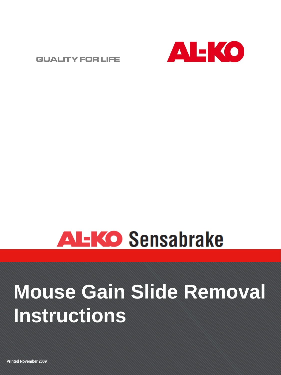

## **ALKO Sensabrake**

## **Mouse Gain Slide Removal Instructions**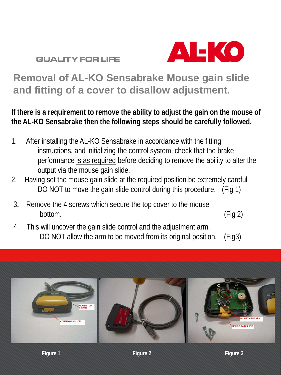

### **Removal of AL-KO Sensabrake Mouse gain slide and fitting of a cover to disallow adjustment.**

**If there is a requirement to remove the ability to adjust the gain on the mouse of the AL-KO Sensabrake then the following steps should be carefully followed.**

- 1. After installing the AL-KO Sensabrake in accordance with the fitting instructions, and initializing the control system, check that the brake performance is as required before deciding to remove the ability to alter the output via the mouse gain slide.
- 2. Having set the mouse gain slide at the required position be extremely careful DO NOT to move the gain slide control during this procedure. (Fig 1)
- 3**.** Remove the 4 screws which secure the top cover to the mouse bottom. (Fig 2)

4. This will uncover the gain slide control and the adjustment arm. DO NOT allow the arm to be moved from its original position. (Fig3)

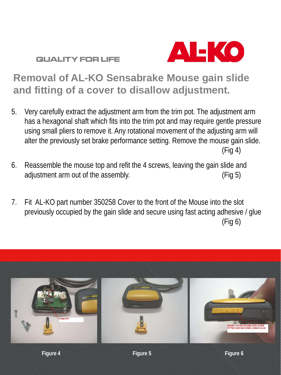

### **Removal of AL-KO Sensabrake Mouse gain slide and fitting of a cover to disallow adjustment.**

- 5. Very carefully extract the adjustment arm from the trim pot. The adjustment arm has a hexagonal shaft which fits into the trim pot and may require gentle pressure using small pliers to remove it. Any rotational movement of the adjusting arm will alter the previously set brake performance setting. Remove the mouse gain slide. (Fig 4)
- 6. Reassemble the mouse top and refit the 4 screws, leaving the gain slide and adjustment arm out of the assembly. (Fig 5)
- 7. Fit AL-KO part number 350258 Cover to the front of the Mouse into the slot previously occupied by the gain slide and secure using fast acting adhesive / glue (Fig 6)